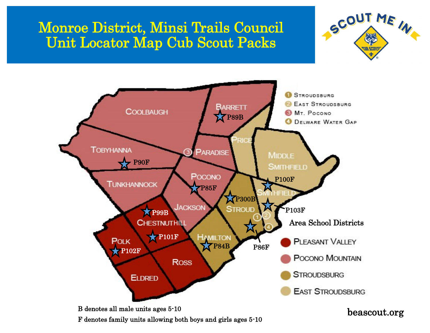## Monroe District, Minsi Trails Council Unit Locator Map Cub Scout Packs





F denotes family units allowing both boys and girls ages 5-10

## beascout.org